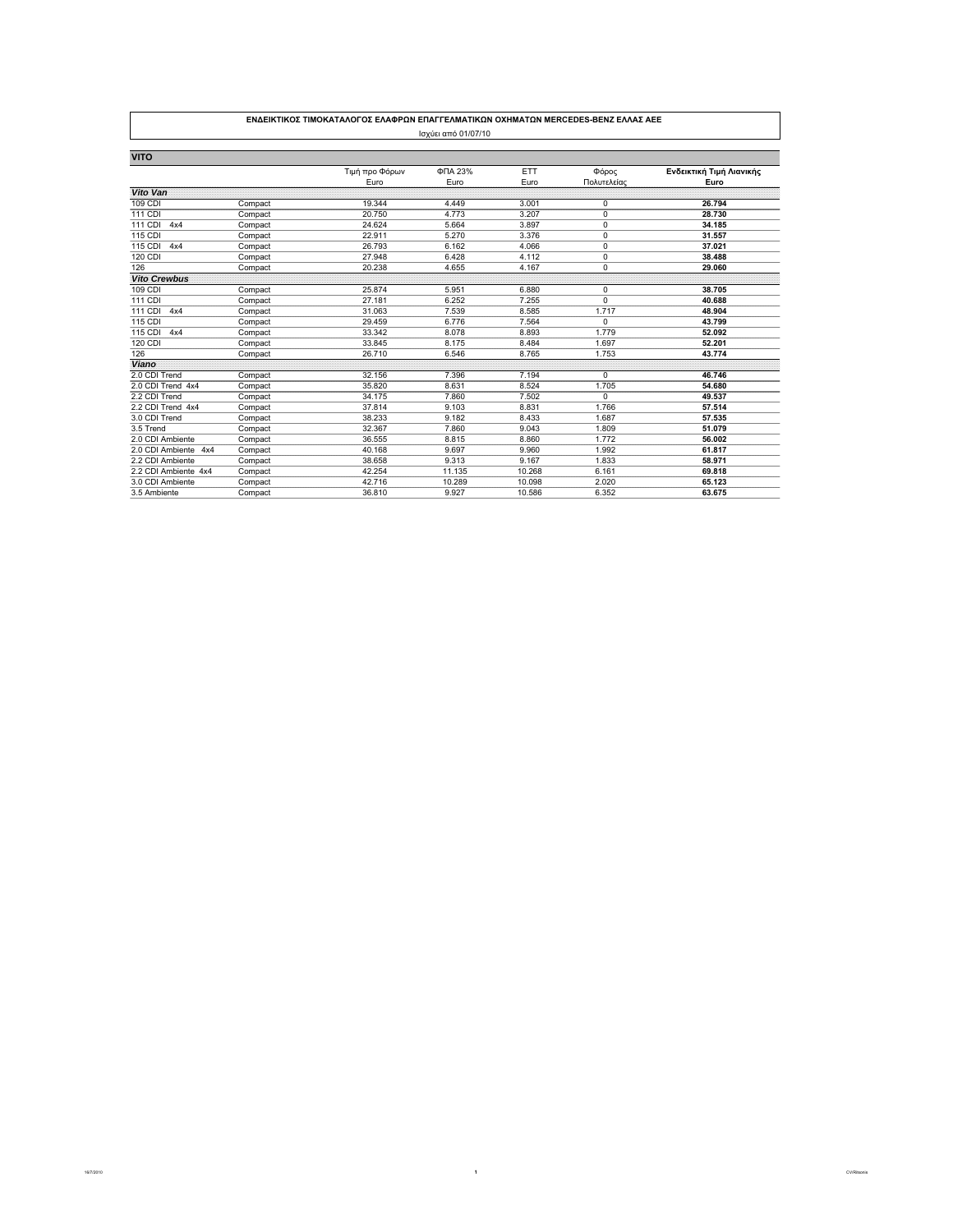|                      |         | ΕΝΔΕΙΚΤΙΚΟΣ ΤΙΜΟΚΑΤΑΛΟΓΟΣ ΕΛΑΦΡΩΝ ΕΠΑΓΓΕΛΜΑΤΙΚΩΝ ΟΧΗΜΑΤΩΝ MERCEDES-BENZ ΕΛΛΑΣ ΑΕΕ |                     |            |             |                          |
|----------------------|---------|-----------------------------------------------------------------------------------|---------------------|------------|-------------|--------------------------|
|                      |         |                                                                                   | Ισχύει από 01/07/10 |            |             |                          |
| <b>VITO</b>          |         |                                                                                   |                     |            |             |                          |
|                      |         | Τιμή προ Φόρων                                                                    | ФПА 23%             | <b>ETT</b> | Φόρος       | Ενδεικτική Τιμή Λιανικής |
|                      |         | Euro                                                                              | Euro                | Euro       | Πολυτελείας | Euro                     |
| Vito Van             |         |                                                                                   |                     |            |             |                          |
| 109 CDI              | Compact | 19.344                                                                            | 4.449               | 3.001      | 0           | 26.794                   |
| 111 CDI              | Compact | 20.750                                                                            | 4.773               | 3.207      | $\mathbf 0$ | 28.730                   |
| 111 CDI<br>4x4       | Compact | 24.624                                                                            | 5.664               | 3.897      | $\mathbf 0$ | 34.185                   |
| 115 CDI              | Compact | 22.911                                                                            | 5.270               | 3.376      | 0           | 31.557                   |
| 115 CDI<br>4x4       | Compact | 26.793                                                                            | 6.162               | 4.066      | 0           | 37.021                   |
| 120 CDI              | Compact | 27.948                                                                            | 6.428               | 4.112      | 0           | 38.488                   |
| 126                  | Compact | 20.238                                                                            | 4.655               | 4.167      | $\mathbf 0$ | 29.060                   |
| <b>Vito Crewbus</b>  |         |                                                                                   |                     |            |             |                          |
| 109 CDI              | Compact | 25.874                                                                            | 5.951               | 6,880      | 0           | 38.705                   |
| 111 CDI              | Compact | 27.181                                                                            | 6.252               | 7.255      | 0           | 40.688                   |
| 111 CDI<br>4x4       | Compact | 31.063                                                                            | 7.539               | 8.585      | 1.717       | 48.904                   |
| 115 CDI              | Compact | 29.459                                                                            | 6.776               | 7.564      | 0           | 43.799                   |
| 115 CDI<br>4x4       | Compact | 33.342                                                                            | 8.078               | 8.893      | 1.779       | 52.092                   |
| 120 CDI              | Compact | 33.845                                                                            | 8.175               | 8.484      | 1.697       | 52.201                   |
| 126                  | Compact | 26.710                                                                            | 6.546               | 8.765      | 1.753       | 43.774                   |
| Viano                |         |                                                                                   |                     |            |             |                          |
| 2.0 CDI Trend        | Compact | 32.156                                                                            | 7.396               | 7.194      | $\Omega$    | 46.746                   |
| 2.0 CDI Trend 4x4    | Compact | 35.820                                                                            | 8.631               | 8.524      | 1.705       | 54.680                   |
| 2.2 CDI Trend        | Compact | 34.175                                                                            | 7.860               | 7.502      | $\Omega$    | 49.537                   |
| 2.2 CDI Trend 4x4    | Compact | 37.814                                                                            | 9.103               | 8.831      | 1.766       | 57.514                   |
| 3.0 CDI Trend        | Compact | 38.233                                                                            | 9.182               | 8.433      | 1.687       | 57.535                   |
| 3.5 Trend            | Compact | 32.367                                                                            | 7.860               | 9.043      | 1.809       | 51.079                   |
| 2.0 CDI Ambiente     | Compact | 36.555                                                                            | 8.815               | 8.860      | 1.772       | 56.002                   |
| 2.0 CDI Ambiente 4x4 | Compact | 40.168                                                                            | 9.697               | 9.960      | 1.992       | 61.817                   |
| 2.2 CDI Ambiente     | Compact | 38.658                                                                            | 9.313               | 9.167      | 1.833       | 58.971                   |
| 2.2 CDI Ambiente 4x4 | Compact | 42.254                                                                            | 11.135              | 10.268     | 6.161       | 69.818                   |
| 3.0 CDI Ambiente     | Compact | 42.716                                                                            | 10.289              | 10.098     | 2.020       | 65.123                   |
| 3.5 Ambiente         | Compact | 36.810                                                                            | 9.927               | 10.586     | 6.352       | 63.675                   |

16/7/2010 **1** CV/Ritsonis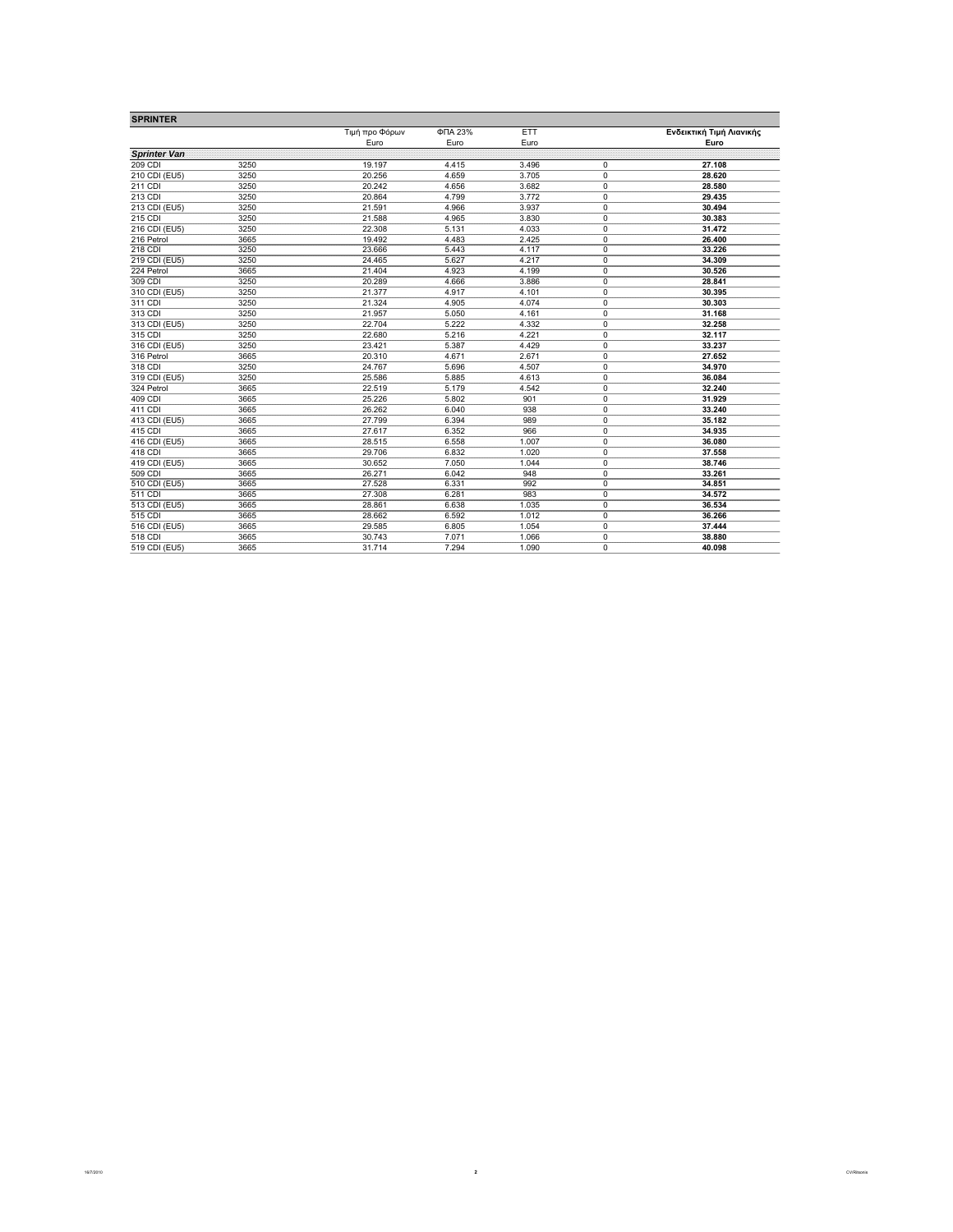| <b>SPRINTER</b>     |      |                |         |            |             |                          |
|---------------------|------|----------------|---------|------------|-------------|--------------------------|
|                     |      | Τιμή προ Φόρων | ФПА 23% | <b>ETT</b> |             | Ενδεικτική Τιμή Λιανικής |
|                     |      | Euro           | Euro    | Euro       |             | Euro                     |
| <b>Sprinter Van</b> |      |                |         |            |             |                          |
| 209 CDI             | 3250 | 19.197         | 4.415   | 3.496      | 0           | 27.108                   |
| 210 CDI (EU5)       | 3250 | 20.256         | 4.659   | 3.705      | $\mathbf 0$ | 28.620                   |
| 211 CDI             | 3250 | 20.242         | 4.656   | 3.682      | 0           | 28.580                   |
| 213 CDI             | 3250 | 20.864         | 4.799   | 3.772      | 0           | 29.435                   |
| 213 CDI (EU5)       | 3250 | 21.591         | 4.966   | 3.937      | 0           | 30.494                   |
| 215 CDI             | 3250 | 21.588         | 4.965   | 3.830      | $\mathbf 0$ | 30.383                   |
| 216 CDI (EU5)       | 3250 | 22.308         | 5.131   | 4.033      | 0           | 31.472                   |
| 216 Petrol          | 3665 | 19.492         | 4.483   | 2.425      | 0           | 26.400                   |
| 218 CDI             | 3250 | 23.666         | 5.443   | 4.117      | 0           | 33.226                   |
| 219 CDI (EU5)       | 3250 | 24.465         | 5.627   | 4.217      | $\pmb{0}$   | 34.309                   |
| 224 Petrol          | 3665 | 21.404         | 4.923   | 4.199      | 0           | 30.526                   |
| 309 CDI             | 3250 | 20.289         | 4.666   | 3.886      | 0           | 28.841                   |
| 310 CDI (EU5)       | 3250 | 21.377         | 4.917   | 4.101      | $\mathbf 0$ | 30.395                   |
| 311 CDI             | 3250 | 21.324         | 4.905   | 4.074      | $\mathbf 0$ | 30.303                   |
| 313 CDI             | 3250 | 21.957         | 5.050   | 4.161      | 0           | 31.168                   |
| 313 CDI (EU5)       | 3250 | 22.704         | 5.222   | 4.332      | 0           | 32.258                   |
| 315 CDI             | 3250 | 22.680         | 5.216   | 4.221      | 0           | 32.117                   |
| 316 CDI (EU5)       | 3250 | 23.421         | 5.387   | 4.429      | 0           | 33.237                   |
| 316 Petrol          | 3665 | 20.310         | 4.671   | 2.671      | $\mathbf 0$ | 27.652                   |
| 318 CDI             | 3250 | 24.767         | 5.696   | 4.507      | 0           | 34.970                   |
| 319 CDI (EU5)       | 3250 | 25.586         | 5.885   | 4.613      | 0           | 36.084                   |
| 324 Petrol          | 3665 | 22.519         | 5.179   | 4.542      | 0           | 32.240                   |
| 409 CDI             | 3665 | 25.226         | 5.802   | 901        | $\mathbf 0$ | 31.929                   |
| 411 CDI             | 3665 | 26.262         | 6.040   | 938        | 0           | 33.240                   |
| 413 CDI (EU5)       | 3665 | 27.799         | 6.394   | 989        | $\mathbf 0$ | 35.182                   |
| 415 CDI             | 3665 | 27.617         | 6.352   | 966        | $\mathbf 0$ | 34.935                   |
| 416 CDI (EU5)       | 3665 | 28.515         | 6.558   | 1.007      | 0           | 36.080                   |
| 418 CDI             | 3665 | 29.706         | 6.832   | 1.020      | 0           | 37.558                   |
| 419 CDI (EU5)       | 3665 | 30.652         | 7.050   | 1.044      | $\mathbf 0$ | 38.746                   |
| 509 CDI             | 3665 | 26.271         | 6.042   | 948        | 0           | 33.261                   |
| 510 CDI (EU5)       | 3665 | 27.528         | 6.331   | 992        | 0           | 34.851                   |
| 511 CDI             | 3665 | 27.308         | 6.281   | 983        | 0           | 34.572                   |
| 513 CDI (EU5)       | 3665 | 28.861         | 6.638   | 1.035      | 0           | 36.534                   |
| 515 CDI             | 3665 | 28.662         | 6.592   | 1.012      | 0           | 36.266                   |
| 516 CDI (EU5)       | 3665 | 29.585         | 6.805   | 1.054      | $\mathbf 0$ | 37.444                   |
| 518 CDI             | 3665 | 30.743         | 7.071   | 1.066      | 0           | 38.880                   |
| 519 CDI (EU5)       | 3665 | 31.714         | 7.294   | 1.090      | $\Omega$    | 40.098                   |